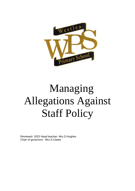

# Managing Allegations Against Staff Policy

Reviewed- 2022 Head teacher- Mrs D.Hughes Chair of governors- Mrs A.Clarke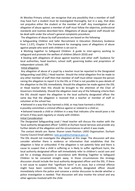At Westlea Primary school, we recognise that any possibility that a member of staff may have hurt a student must be investigated thoroughly, but in a way, that does not prejudice either the student or the member of staff. Any investigation of an allegation of abuse against a member of staff must follow the objective, professional standards and routines described here. Allegations of abuse against staff should not be dealt with under the school's general complaints procedure.

The allegations of abuse by staff procedures are based on the following:

• Safeguarding Children and Safer Recruitment in Education (Statutory Guidance from 1.1.07), Chapter 5 The framework for managing cases of allegations of abuse against people who work with children is set out in:

• Working together to Safeguard Children: A guide to inter-agency working to safeguard and promote the welfare of children (March 2010) and

• Dealing with allegations of abuse against teachers and other staff: Guidance for local authorities, head teachers, school staff, governing bodies and proprietors of independent schools. DfE.

# Initial allegation

Any allegation of abuse of a pupil by a teacher must be reported to the Designated Safeguarding Lead (DSL) / Head teacher. Should the initial allegation first be made to any other member of staff then that member of staff must either request the person raising the allegation to report it to the DSL or if that is not possible to pass details of the allegation to the DSL immediately. Should the allegation be made against the DSL or Head teacher then this should be brought to the attention of the Chair of Governors immediately. Should the allegation meet any of the following criteria then the DSL should report the allegation to the local authority designated officer the same day that the allegation is received that a teacher or member of staff or volunteer at the school has:

• behaved in a way that has harmed a child, or may have harmed a child or;

• possibly committed a criminal offence against or related to a child or;

• behaved towards a child or children in a way that indicates s/he would pose a risk of harm if they work regularly or closely with children.

# Initial Consideration

The Designated Safeguarding Lead / Head teacher will discuss the matter with the 'local authority designated officer' (LADO) at Durham Social Services and provide any further details of the allegation and the circumstances in which it was made.

The contact details are: Name: Sharon Lewis Position: LADO Organisation: Durham County Council Email address: [lado-gcsx@durhamgcsx.gov.uk](mailto:lado-gcsx@durhamgcsx.gov.uk)

The DSL should not investigate the allegation at this stage. The discussion will also consider whether there is evidence or information that establishes that the allegation is false or unfounded. If the allegation is not patently false and there is cause to suspect that a child is suffering or is likely to suffer significant harm, the local authority designated officer will immediately refer to children's social care and ask for a strategy discussion in accordance with Working Together to Safeguard Children to be convened straight away. In those circumstances the strategy discussion should include the local authority designated officer and the DSL. If there is not cause to suspect that "significant harm" is an issue, but a criminal offence might have been committed, the local authority designated officer should immediately inform the police and convene a similar discussion to decide whether a police investigation is needed. That discussion will also involve the school and any other agencies involved with the child.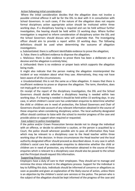# Action following initial consideration

Where the initial consideration decides that the allegation does not involve a possible criminal offence it will be for the DSL to deal with it in consultation with School Governors. In such cases, if the nature of the allegation does not require formal disciplinary action appropriate action should be instituted within three working days. If a disciplinary hearing is required and can be held without further investigation, the hearing should be held within 15 working days. Where further investigation is required to inform consideration of disciplinary action the DSL and the School Governors should discuss who will undertake that. The investigating officer should aim to provide a report within 10 working days. The following definitions should be used when determining the outcome of allegation investigations-

a. Substantiated: there is sufficient identifiable evidence to prove the allegation;

b. False: there is sufficient evidence to disprove the allegation;

c. Malicious: there is clear evidence to prove there has been a deliberate act to deceive and the allegation is entirely false;

d. Unfounded: there is no evidence or proper basis which supports the allegation being made.

It might also indicate that the person making the allegation misinterpreted the incident or was mistaken about what they saw. Alternatively, they may not have been aware of all the circumstances;

e Unsubstantiated: this is not the same as a false allegation. It means that there is insufficient evidence to prove or disprove the allegation. The term, therefore, does not imply guilt or innocence.

On receipt of the report of the disciplinary investigation, the DSL and the School Governors should decide whether a disciplinary hearing is needed within two working days. If a hearing is needed it should be held within 15 working days. In any case, in which children's social care has undertaken enquiries to determine whether the child or children are in need of protection, the School Governors and Chair of Governors should take account of any relevant information obtained in the course of those enquiries when considering disciplinary action. The local authority designated officer should continue to liaise with the school to monitor progress of the case and provide advice or support when required or requested.

Case subject to police investigation

If the police and/or Crown Prosecution Service decide not to charge the individual with an offence, or decide to administer a caution, or the person is acquitted by a Court, the police should wherever possible aim to pass all information they have which may be relevant to a disciplinary case to the Head teacher within three working days of the decision. In those circumstances the Head teacher and the local authority designated officer should proceed as described above. In any case in which children's social care has undertaken enquiries to determine whether the child or children are in need of protection, any information obtained in the course of those enquiries which is relevant to a disciplinary case should also be passed to the school and the Principal should request this information.

# Supporting those involved

Employers have a duty of care to their employees. They should act to manage and minimise the stress inherent in the allegations process. Support for the individual is key to fulfilling this duty. Individuals should be informed of concerns or allegations as soon as possible and given an explanation of the likely course of action, unless there is an objection by the children's social care services or the police. The person who is the subject of the allegation should be kept informed of the progress of the case and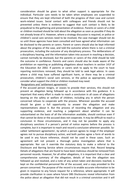consideration should be given to what other support is appropriate for the individual. Particular care needs to be taken when employees are suspended to ensure that they are kept informed of both the progress of their case and current work-related issues. Social contact with colleagues and friends should not be prevented unless there is evidence to suggest that such contact is likely to be prejudicial to the gathering and presentation of evidence. Parents or carers of a child or children involved should be told about the allegation as soon as possible if they do not already know of it. However, where a strategy discussion is required, or police or children's social care services need to be involved, the case manager should not do so until those agencies have been consulted and have agreed what information can be disclosed to the parents or carers. Parent or carers should also be kept informed about the progress of the case, and told the outcome where there is not a criminal prosecution, including the outcome of any disciplinary process. The deliberations of a disciplinary hearing, and the information taken into account in reaching a decision, cannot normally be disclosed, but the parents or carers of the child should be told the outcome in confidence. Parents and carers should also be made aware of the prohibition on reporting or publishing allegations about teachers in section 141F of the Education Act 2002. If parents or carers wish to apply to the court to have reporting restrictions removed, they should be told to seek legal advice. In cases where a child may have suffered significant harm, or there may be a criminal prosecution, children's social care services, or the police as appropriate, should consider what support the child or children involved may need.

#### Resignations and 'settlement agreements'

If the accused person resigns, or ceases to provide their services, this should not prevent an allegation being followed up in accordance with this guidance. It is important that every effort is made to reach a conclusion in all cases of allegations bearing on the safety or welfare of children, including any in which the person concerned refuses to cooperate with the process. Wherever possible the accused should be given a full opportunity to answer the allegation and make representations about it. But the process of recording the allegation and any supporting evidence, and reaching a judgement about whether it can be substantiated on the basis of all the information available, should continue even if that cannot be done or the accused does not cooperate. It may be difficult to reach a conclusion in those circumstances, and it may not be possible to apply any disciplinary sanctions if a person's period of notice expires before the process is complete, but it is important to reach and record a conclusion wherever possible. Socalled 'settlement agreements', by which a person agrees to resign if the employer agrees not to pursue disciplinary action, and both parties agree a form of words to be used in any future reference, should not be used in these cases. Such an agreement will not prevent a thorough police investigation where that is appropriate. Nor can it override the statutory duty to make a referral to the Disclosure and Barring Service where circumstances require that. Record keeping Details of allegations that are found to have been malicious should be removed from personnel records. However, for all other allegations, it is important that a clear and comprehensive summary of the allegation, details of how the allegation was followed up and resolved, and a note of any action taken and decisions reached, is kept on the confidential personnel file of the accused, and a copy provided to the person concerned. The purpose of the record is to enable accurate information to be given in response to any future request for a reference, where appropriate. It will provide clarification in cases where future DBS Disclosures reveal information from the police about an allegation that did not result in a criminal conviction and it will